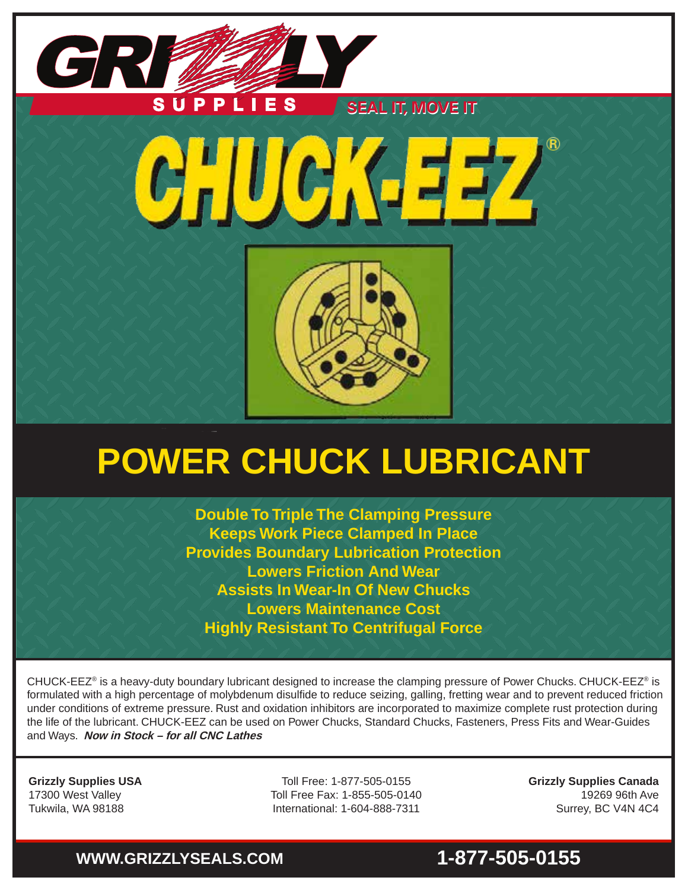

# **POWER CHUCK LUBRICANT**

**Double To Triple The Clamping Pressure Keeps Work Piece Clamped In Place Provides Boundary Lubrication Protection Lowers Friction And Wear Assists In Wear-In Of New Chucks Lowers Maintenance Cost Highly Resistant To Centrifugal Force**

CHUCK-EEZ® is a heavy-duty boundary lubricant designed to increase the clamping pressure of Power Chucks. CHUCK-EEZ® is formulated with a high percentage of molybdenum disulfide to reduce seizing, galling, fretting wear and to prevent reduced friction under conditions of extreme pressure. Rust and oxidation inhibitors are incorporated to maximize complete rust protection during the life of the lubricant. CHUCK-EEZ can be used on Power Chucks, Standard Chucks, Fasteners, Press Fits and Wear-Guides and Ways. **Now in Stock – for all CNC Lathes**

**Grizzly Supplies USA** 17300 West Valley Tukwila, WA 98188

Toll Free: 1-877-505-0155 Toll Free Fax: 1-855-505-0140 International: 1-604-888-7311

**Grizzly Supplies Canada** 19269 96th Ave Surrey, BC V4N 4C4

# **WWW.GRIZZLYSEALS.COM 1-877-505-0155**